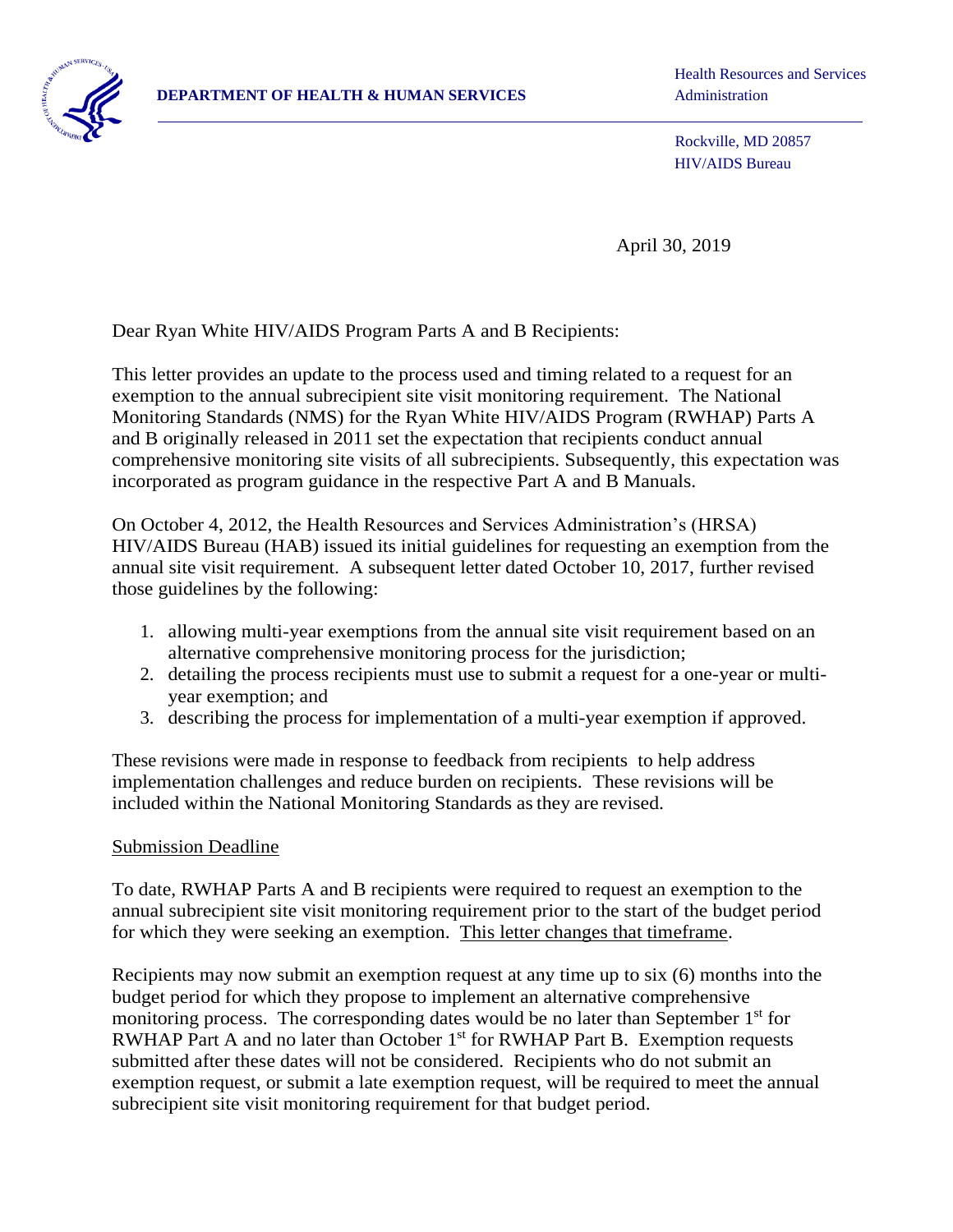

Health Resources and Services

Rockville, MD 20857 HIV/AIDS Bureau

April 30, 2019

Dear Ryan White HIV/AIDS Program Parts A and B Recipients:

 exemption to the annual subrecipient site visit monitoring requirement. The National This letter provides an update to the process used and timing related to a request for an Monitoring Standards (NMS) for the Ryan White HIV/AIDS Program (RWHAP) Parts A and B originally released in 2011 set the expectation that recipients conduct annual comprehensive monitoring site visits of all subrecipients. Subsequently, this expectation was incorporated as program guidance in the respective Part A and B Manuals.

On October 4, 2012, the Health Resources and Services Administration's (HRSA) HIV/AIDS Bureau (HAB) issued its initial guidelines for requesting an exemption from the annual site visit requirement. A subsequent letter dated October 10, 2017, further revised those guidelines by the following:

- 1. allowing multi-year exemptions from the annual site visit requirement based on an alternative comprehensive monitoring process for the jurisdiction;
- 2. detailing the process recipients must use to submit a request for a one-year or multiyear exemption; and
- 3. describing the process for implementation of a multi-year exemption if approved.

These revisions were made in response to feedback from recipients to help address implementation challenges and reduce burden on recipients. These revisions will be included within the National Monitoring Standards as they are revised.

### Submission Deadline

To date, RWHAP Parts A and B recipients were required to request an exemption to the annual subrecipient site visit monitoring requirement prior to the start of the budget period for which they were seeking an exemption. This letter changes that timeframe.

RWHAP Part A and no later than October 1<sup>st</sup> for RWHAP Part B. Exemption requests exemption request, or submit a late exemption request, will be required to meet the annual Recipients may now submit an exemption request at any time up to six (6) months into the budget period for which they propose to implement an alternative comprehensive monitoring process. The corresponding dates would be no later than September 1<sup>st</sup> for submitted after these dates will not be considered. Recipients who do not submit an subrecipient site visit monitoring requirement for that budget period.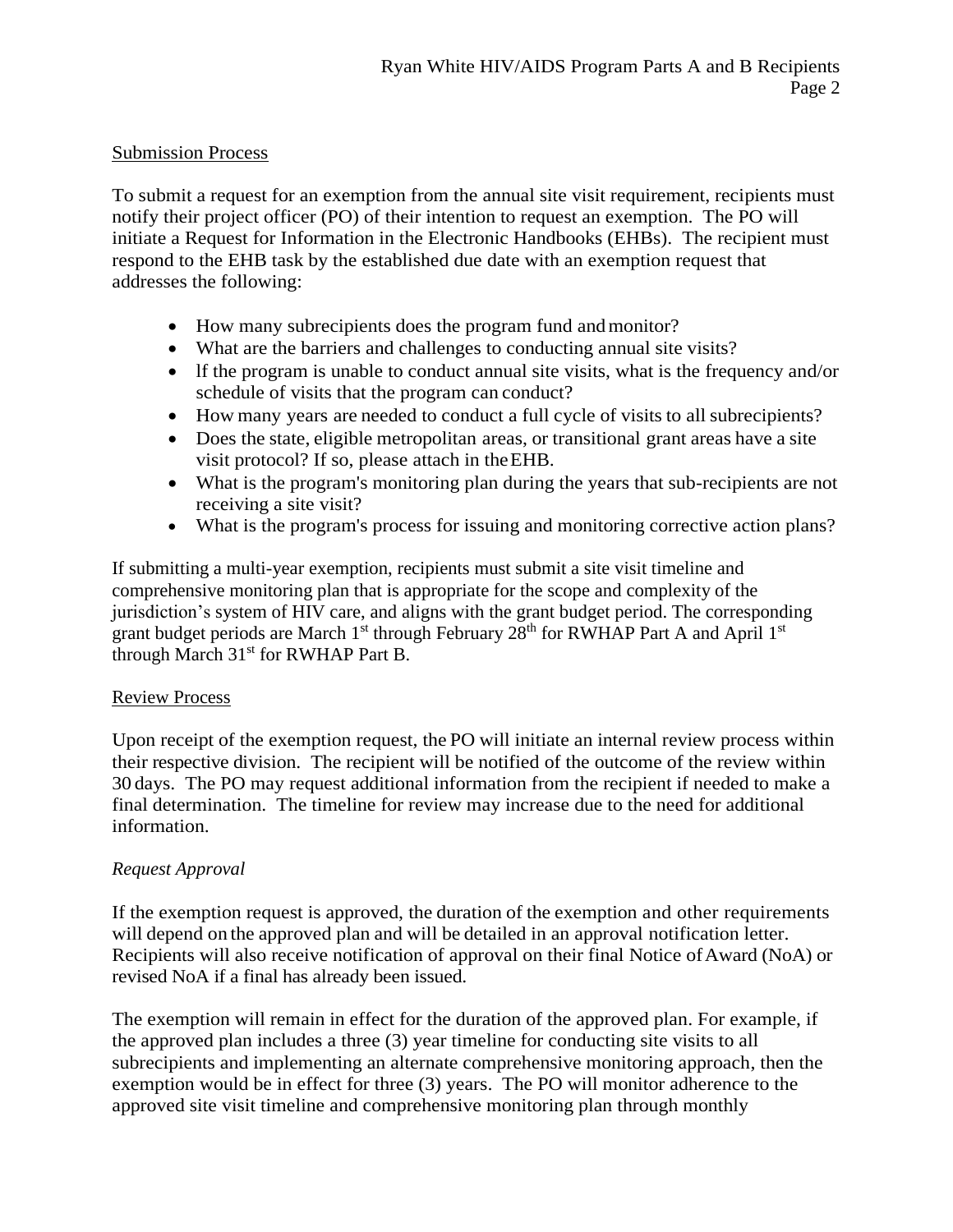## Submission Process

 notify their project officer (PO) of their intention to request an exemption. The PO will initiate a Request for Information in the Electronic Handbooks (EHBs). The recipient must To submit a request for an exemption from the annual site visit requirement, recipients must respond to the EHB task by the established due date with an exemption request that addresses the following:

- How many subrecipients does the program fund and monitor?
- What are the barriers and challenges to conducting annual site visits?
- lf the program is unable to conduct annual site visits, what is the frequency and/or schedule of visits that the program can conduct?
- How many years are needed to conduct a full cycle of visits to all subrecipients?
- Does the state, eligible metropolitan areas, or transitional grant areas have a site visit protocol? If so, please attach in theEHB.
- What is the program's monitoring plan during the years that sub-recipients are not receiving a site visit?
- What is the program's process for issuing and monitoring corrective action plans?

If submitting a multi-year exemption, recipients must submit a site visit timeline and comprehensive monitoring plan that is appropriate for the scope and complexity of the jurisdiction's system of HIV care, and aligns with the grant budget period. The corresponding grant budget periods are March 1<sup>st</sup> through February 28<sup>th</sup> for RWHAP Part A and April 1<sup>st</sup> through March  $31<sup>st</sup>$  for RWHAP Part B.

# Review Process

 their respective division. The recipient will be notified of the outcome of the review within information. Upon receipt of the exemption request, the PO will initiate an internal review process within 30 days. The PO may request additional information from the recipient if needed to make a final determination. The timeline for review may increase due to the need for additional

# *Request Approval*

 If the exemption request is approved, the duration of the exemption and other requirements revised NoA if a final has already been issued. will depend on the approved plan and will be detailed in an approval notification letter. Recipients will also receive notification of approval on their final Notice of Award (NoA) or

 exemption would be in effect for three (3) years. The PO will monitor adherence to the The exemption will remain in effect for the duration of the approved plan. For example, if the approved plan includes a three (3) year timeline for conducting site visits to all subrecipients and implementing an alternate comprehensive monitoring approach, then the approved site visit timeline and comprehensive monitoring plan through monthly